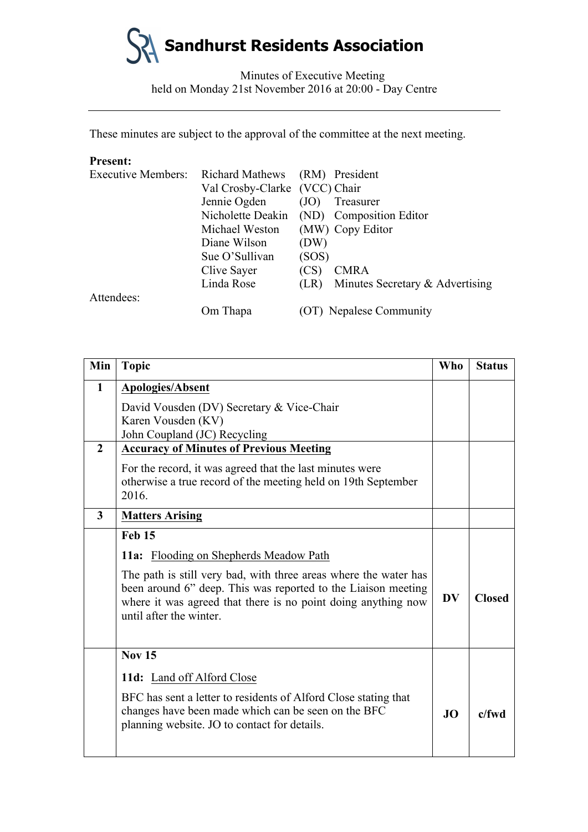

Minutes of Executive Meeting held on Monday 21st November 2016 at 20:00 - Day Centre

These minutes are subject to the approval of the committee at the next meeting.

# **Present:**

| <b>Executive Members:</b> | Richard Mathews (RM) President |       |                                           |
|---------------------------|--------------------------------|-------|-------------------------------------------|
|                           | Val Crosby-Clarke (VCC) Chair  |       |                                           |
|                           | Jennie Ogden                   | (JO)  | Treasurer                                 |
|                           |                                |       | Nicholette Deakin (ND) Composition Editor |
|                           | Michael Weston                 |       | (MW) Copy Editor                          |
|                           | Diane Wilson                   | (DW)  |                                           |
|                           | Sue O'Sullivan                 | (SOS) |                                           |
|                           | Clive Sayer                    | (CS)  | <b>CMRA</b>                               |
|                           | Linda Rose                     | (LR)  | Minutes Secretary & Advertising           |
| Attendees:                |                                |       |                                           |
|                           | Om Thapa                       |       | (OT) Nepalese Community                   |

| Min                     | <b>Topic</b>                                                                                                                                                                                                                  | <b>Who</b> | <b>Status</b> |
|-------------------------|-------------------------------------------------------------------------------------------------------------------------------------------------------------------------------------------------------------------------------|------------|---------------|
| $\mathbf{1}$            | <b>Apologies/Absent</b>                                                                                                                                                                                                       |            |               |
|                         | David Vousden (DV) Secretary & Vice-Chair                                                                                                                                                                                     |            |               |
|                         | Karen Vousden (KV)                                                                                                                                                                                                            |            |               |
|                         | John Coupland (JC) Recycling                                                                                                                                                                                                  |            |               |
| $\overline{2}$          | <b>Accuracy of Minutes of Previous Meeting</b>                                                                                                                                                                                |            |               |
|                         | For the record, it was agreed that the last minutes were                                                                                                                                                                      |            |               |
|                         | otherwise a true record of the meeting held on 19th September<br>2016.                                                                                                                                                        |            |               |
| $\overline{\mathbf{3}}$ | <b>Matters Arising</b>                                                                                                                                                                                                        |            |               |
|                         | Feb 15                                                                                                                                                                                                                        |            |               |
|                         | <b>11a:</b> Flooding on Shepherds Meadow Path                                                                                                                                                                                 |            |               |
|                         | The path is still very bad, with three areas where the water has<br>been around 6" deep. This was reported to the Liaison meeting<br>where it was agreed that there is no point doing anything now<br>until after the winter. | <b>DV</b>  | <b>Closed</b> |
|                         | <b>Nov 15</b>                                                                                                                                                                                                                 |            |               |
|                         | 11d: Land off Alford Close                                                                                                                                                                                                    |            |               |
|                         | BFC has sent a letter to residents of Alford Close stating that<br>changes have been made which can be seen on the BFC<br>planning website. JO to contact for details.                                                        | JO.        | $c$ /fwd      |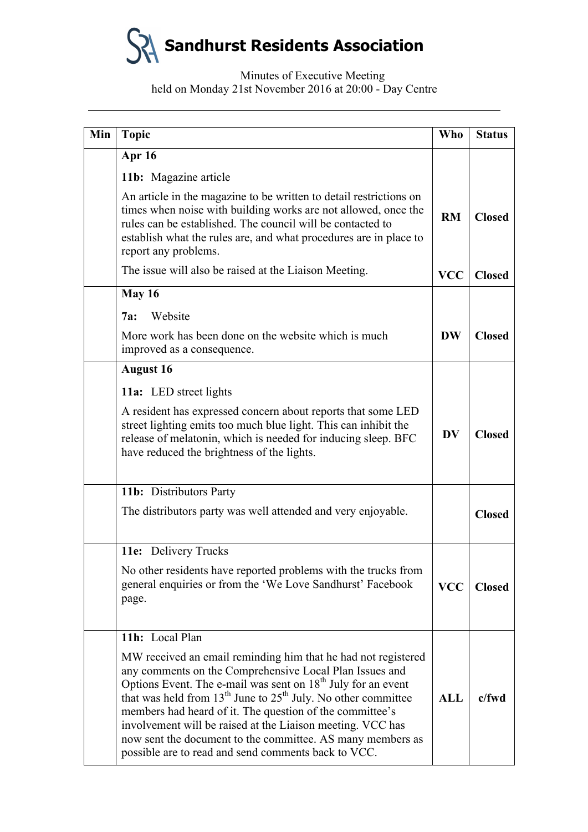| Min | <b>Topic</b>                                                                                                                                                                                                                                                                                                                                                                                                                                                                                                             | <b>Who</b> | <b>Status</b> |
|-----|--------------------------------------------------------------------------------------------------------------------------------------------------------------------------------------------------------------------------------------------------------------------------------------------------------------------------------------------------------------------------------------------------------------------------------------------------------------------------------------------------------------------------|------------|---------------|
|     | Apr 16                                                                                                                                                                                                                                                                                                                                                                                                                                                                                                                   |            |               |
|     | 11b: Magazine article                                                                                                                                                                                                                                                                                                                                                                                                                                                                                                    |            |               |
|     | An article in the magazine to be written to detail restrictions on<br>times when noise with building works are not allowed, once the<br>rules can be established. The council will be contacted to<br>establish what the rules are, and what procedures are in place to<br>report any problems.                                                                                                                                                                                                                          | RM         | <b>Closed</b> |
|     | The issue will also be raised at the Liaison Meeting.                                                                                                                                                                                                                                                                                                                                                                                                                                                                    | <b>VCC</b> | <b>Closed</b> |
|     | May 16                                                                                                                                                                                                                                                                                                                                                                                                                                                                                                                   |            |               |
|     | Website<br>7a:                                                                                                                                                                                                                                                                                                                                                                                                                                                                                                           |            |               |
|     | More work has been done on the website which is much<br>improved as a consequence.                                                                                                                                                                                                                                                                                                                                                                                                                                       | <b>DW</b>  | <b>Closed</b> |
|     | <b>August 16</b>                                                                                                                                                                                                                                                                                                                                                                                                                                                                                                         |            |               |
|     | 11a: LED street lights                                                                                                                                                                                                                                                                                                                                                                                                                                                                                                   |            |               |
|     | A resident has expressed concern about reports that some LED<br>street lighting emits too much blue light. This can inhibit the<br>release of melatonin, which is needed for inducing sleep. BFC<br>have reduced the brightness of the lights.                                                                                                                                                                                                                                                                           | <b>DV</b>  | <b>Closed</b> |
|     | 11b: Distributors Party                                                                                                                                                                                                                                                                                                                                                                                                                                                                                                  |            |               |
|     | The distributors party was well attended and very enjoyable.                                                                                                                                                                                                                                                                                                                                                                                                                                                             |            | <b>Closed</b> |
|     | 11e: Delivery Trucks                                                                                                                                                                                                                                                                                                                                                                                                                                                                                                     |            |               |
|     | No other residents have reported problems with the trucks from<br>general enquiries or from the 'We Love Sandhurst' Facebook<br>page.                                                                                                                                                                                                                                                                                                                                                                                    | <b>VCC</b> | <b>Closed</b> |
|     | 11h: Local Plan                                                                                                                                                                                                                                                                                                                                                                                                                                                                                                          |            |               |
|     | MW received an email reminding him that he had not registered<br>any comments on the Comprehensive Local Plan Issues and<br>Options Event. The e-mail was sent on 18 <sup>th</sup> July for an event<br>that was held from $13th$ June to $25th$ July. No other committee<br>members had heard of it. The question of the committee's<br>involvement will be raised at the Liaison meeting. VCC has<br>now sent the document to the committee. AS many members as<br>possible are to read and send comments back to VCC. | <b>ALL</b> | $c$ /fwd      |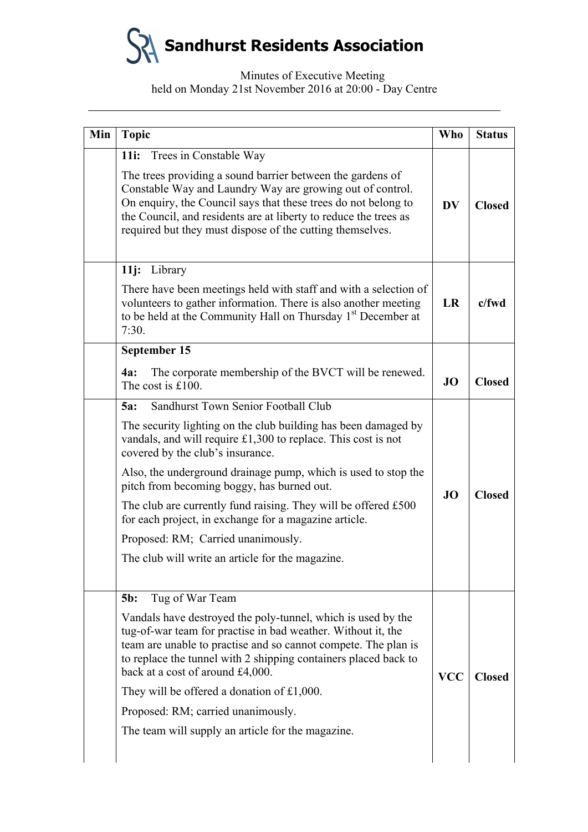| Min | <b>Topic</b>                                                                                                                                                                                                                                                                                                               | <b>Who</b> | <b>Status</b> |
|-----|----------------------------------------------------------------------------------------------------------------------------------------------------------------------------------------------------------------------------------------------------------------------------------------------------------------------------|------------|---------------|
|     | Trees in Constable Way<br>11 <i>i</i> :                                                                                                                                                                                                                                                                                    |            |               |
|     | The trees providing a sound barrier between the gardens of<br>Constable Way and Laundry Way are growing out of control.<br>On enquiry, the Council says that these trees do not belong to<br>the Council, and residents are at liberty to reduce the trees as<br>required but they must dispose of the cutting themselves. | <b>DV</b>  | <b>Closed</b> |
|     | 11j: Library                                                                                                                                                                                                                                                                                                               |            |               |
|     | There have been meetings held with staff and with a selection of<br>volunteers to gather information. There is also another meeting<br>to be held at the Community Hall on Thursday 1 <sup>st</sup> December at<br>7:30.                                                                                                   | <b>LR</b>  | $c$ /fwd      |
|     | September 15                                                                                                                                                                                                                                                                                                               |            |               |
|     | The corporate membership of the BVCT will be renewed.<br><b>4a:</b><br>The cost is $£100$ .                                                                                                                                                                                                                                | <b>JO</b>  | <b>Closed</b> |
|     | Sandhurst Town Senior Football Club<br><b>5a:</b>                                                                                                                                                                                                                                                                          |            |               |
|     | The security lighting on the club building has been damaged by<br>vandals, and will require $£1,300$ to replace. This cost is not<br>covered by the club's insurance.                                                                                                                                                      |            | <b>Closed</b> |
|     | Also, the underground drainage pump, which is used to stop the<br>pitch from becoming boggy, has burned out.                                                                                                                                                                                                               | <b>JO</b>  |               |
|     | The club are currently fund raising. They will be offered £500<br>for each project, in exchange for a magazine article.                                                                                                                                                                                                    |            |               |
|     | Proposed: RM; Carried unanimously.                                                                                                                                                                                                                                                                                         |            |               |
|     | The club will write an article for the magazine.                                                                                                                                                                                                                                                                           |            |               |
|     | Tug of War Team<br>$5b$ :                                                                                                                                                                                                                                                                                                  |            |               |
|     | Vandals have destroyed the poly-tunnel, which is used by the<br>tug-of-war team for practise in bad weather. Without it, the<br>team are unable to practise and so cannot compete. The plan is<br>to replace the tunnel with 2 shipping containers placed back to<br>back at a cost of around £4,000.                      | <b>VCC</b> | <b>Closed</b> |
|     | They will be offered a donation of £1,000.                                                                                                                                                                                                                                                                                 |            |               |
|     | Proposed: RM; carried unanimously.                                                                                                                                                                                                                                                                                         |            |               |
|     | The team will supply an article for the magazine.                                                                                                                                                                                                                                                                          |            |               |
|     |                                                                                                                                                                                                                                                                                                                            |            |               |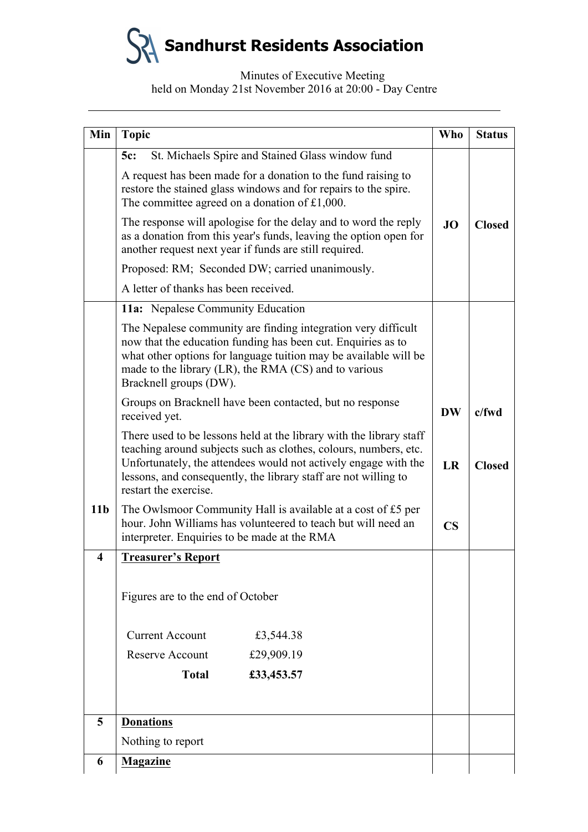| Min             | <b>Topic</b>                                                                                                                                                                                                                                                                                           | Who           | <b>Status</b> |
|-----------------|--------------------------------------------------------------------------------------------------------------------------------------------------------------------------------------------------------------------------------------------------------------------------------------------------------|---------------|---------------|
|                 | St. Michaels Spire and Stained Glass window fund<br>5c:                                                                                                                                                                                                                                                |               |               |
|                 | A request has been made for a donation to the fund raising to<br>restore the stained glass windows and for repairs to the spire.<br>The committee agreed on a donation of $£1,000$ .                                                                                                                   |               |               |
|                 | The response will apologise for the delay and to word the reply<br>as a donation from this year's funds, leaving the option open for<br>another request next year if funds are still required.                                                                                                         | <b>JO</b>     | <b>Closed</b> |
|                 | Proposed: RM; Seconded DW; carried unanimously.                                                                                                                                                                                                                                                        |               |               |
|                 | A letter of thanks has been received.                                                                                                                                                                                                                                                                  |               |               |
|                 | <b>11a:</b> Nepalese Community Education                                                                                                                                                                                                                                                               |               |               |
|                 | The Nepalese community are finding integration very difficult<br>now that the education funding has been cut. Enquiries as to<br>what other options for language tuition may be available will be<br>made to the library (LR), the RMA (CS) and to various<br>Bracknell groups (DW).                   |               |               |
|                 | Groups on Bracknell have been contacted, but no response<br>received yet.                                                                                                                                                                                                                              | <b>DW</b>     | $c$ /fwd      |
|                 | There used to be lessons held at the library with the library staff<br>teaching around subjects such as clothes, colours, numbers, etc.<br>Unfortunately, the attendees would not actively engage with the<br>lessons, and consequently, the library staff are not willing to<br>restart the exercise. | <b>LR</b>     | <b>Closed</b> |
| 11 <sub>b</sub> | The Owlsmoor Community Hall is available at a cost of £5 per<br>hour. John Williams has volunteered to teach but will need an<br>interpreter. Enquiries to be made at the RMA                                                                                                                          | $\mathbf{CS}$ |               |
| 4               | <b>Treasurer's Report</b>                                                                                                                                                                                                                                                                              |               |               |
|                 | Figures are to the end of October                                                                                                                                                                                                                                                                      |               |               |
|                 | <b>Current Account</b><br>£3,544.38                                                                                                                                                                                                                                                                    |               |               |
|                 | <b>Reserve Account</b><br>£29,909.19                                                                                                                                                                                                                                                                   |               |               |
|                 | <b>Total</b><br>£33,453.57                                                                                                                                                                                                                                                                             |               |               |
| 5               | <b>Donations</b>                                                                                                                                                                                                                                                                                       |               |               |
|                 | Nothing to report                                                                                                                                                                                                                                                                                      |               |               |
|                 | <b>Magazine</b>                                                                                                                                                                                                                                                                                        |               |               |
| 6               |                                                                                                                                                                                                                                                                                                        |               |               |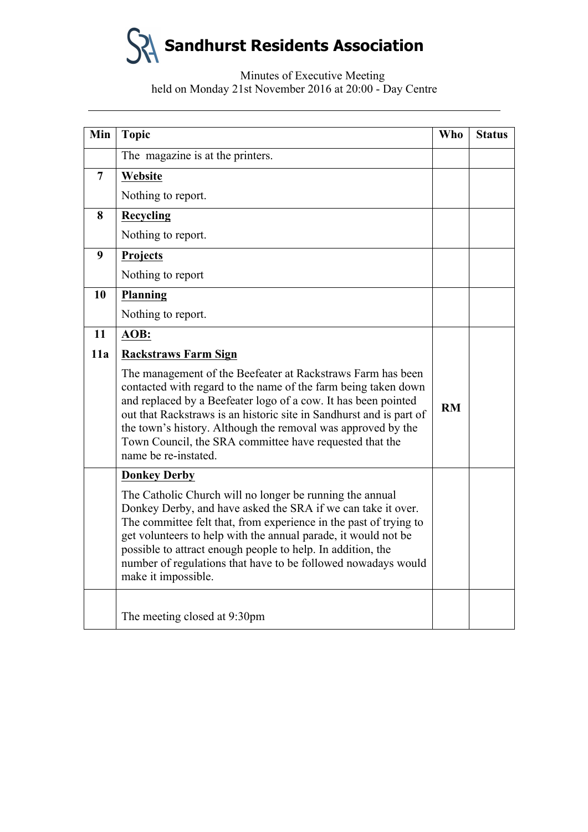| Min            | <b>Topic</b>                                                                                                                                                                                                                                                                                                                                                                                                              | <b>Who</b> | <b>Status</b> |
|----------------|---------------------------------------------------------------------------------------------------------------------------------------------------------------------------------------------------------------------------------------------------------------------------------------------------------------------------------------------------------------------------------------------------------------------------|------------|---------------|
|                | The magazine is at the printers.                                                                                                                                                                                                                                                                                                                                                                                          |            |               |
| $\overline{7}$ | Website                                                                                                                                                                                                                                                                                                                                                                                                                   |            |               |
|                | Nothing to report.                                                                                                                                                                                                                                                                                                                                                                                                        |            |               |
| 8              | <b>Recycling</b>                                                                                                                                                                                                                                                                                                                                                                                                          |            |               |
|                | Nothing to report.                                                                                                                                                                                                                                                                                                                                                                                                        |            |               |
| 9              | Projects                                                                                                                                                                                                                                                                                                                                                                                                                  |            |               |
|                | Nothing to report                                                                                                                                                                                                                                                                                                                                                                                                         |            |               |
| 10             | <b>Planning</b>                                                                                                                                                                                                                                                                                                                                                                                                           |            |               |
|                | Nothing to report.                                                                                                                                                                                                                                                                                                                                                                                                        |            |               |
| 11             | AOB:                                                                                                                                                                                                                                                                                                                                                                                                                      |            |               |
| 11a            | <b>Rackstraws Farm Sign</b>                                                                                                                                                                                                                                                                                                                                                                                               |            |               |
|                | The management of the Beefeater at Rackstraws Farm has been<br>contacted with regard to the name of the farm being taken down<br>and replaced by a Beefeater logo of a cow. It has been pointed<br>out that Rackstraws is an historic site in Sandhurst and is part of<br>the town's history. Although the removal was approved by the<br>Town Council, the SRA committee have requested that the<br>name be re-instated. | RM         |               |
|                | <b>Donkey Derby</b>                                                                                                                                                                                                                                                                                                                                                                                                       |            |               |
|                | The Catholic Church will no longer be running the annual<br>Donkey Derby, and have asked the SRA if we can take it over.<br>The committee felt that, from experience in the past of trying to<br>get volunteers to help with the annual parade, it would not be<br>possible to attract enough people to help. In addition, the<br>number of regulations that have to be followed nowadays would<br>make it impossible.    |            |               |
|                | The meeting closed at 9:30pm                                                                                                                                                                                                                                                                                                                                                                                              |            |               |